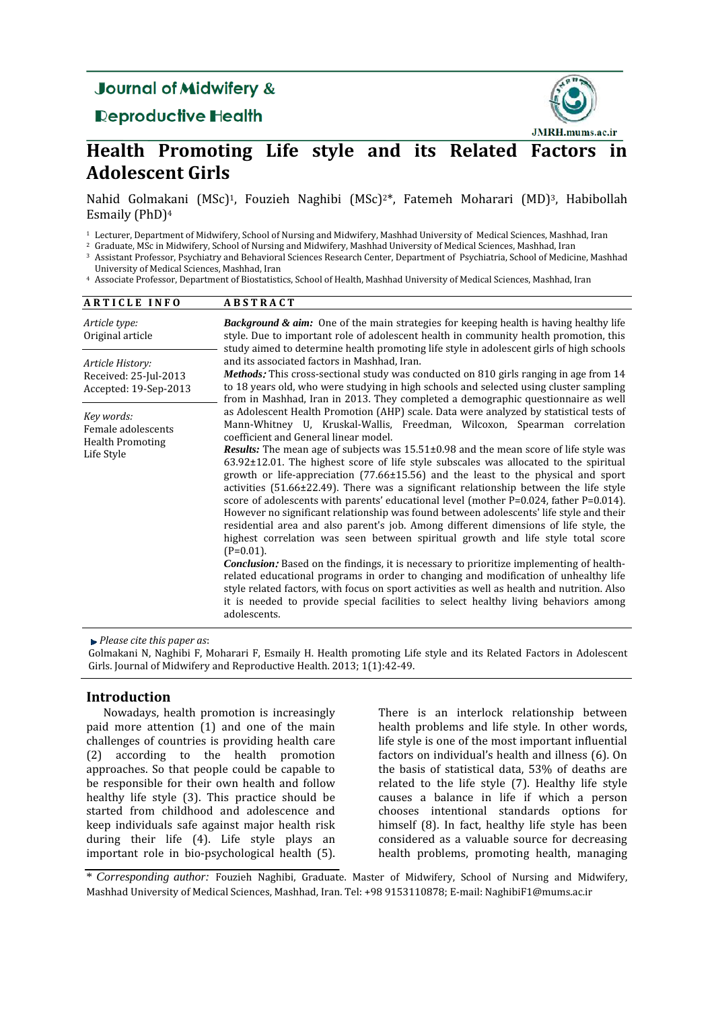# **Journal of Midwifery &**

# Reproductive Health



# **Health Promoting Life style and its Related Factors in Adolescent Girls**

Nahid Golmakani (MSc)1, Fouzieh Naghibi (MSc)2\*, Fatemeh Moharari (MD)3, Habibollah Esmaily (PhD)4

<sup>1</sup> Lecturer, Department of Midwifery, School of Nursing and Midwifery, Mashhad University of Medical Sciences, Mashhad, Iran

<sup>2</sup> Graduate, MSc in Midwifery, School of Nursing and Midwifery, Mashhad University of Medical Sciences, Mashhad, Iran

<sup>3</sup> Assistant Professor, Psychiatry and Behavioral Sciences Research Center, Department of Psychiatria, School of Medicine, Mashhad University of Medical Sciences, Mashhad, Iran

<sup>4</sup> Associate Professor, Department of Biostatistics, School of Health, Mashhad University of Medical Sciences, Mashhad, Iran

| <b>ARTICLE INFO</b>                                                       | <b>ABSTRACT</b>                                                                                                                                                                                                                                                                                                                                                                                                                                                                                                                                                                                                                                                                                                                                                                                                                                                                                                                                                                                                                                                                                                                                                                                                                                                                                                                                                                             |  |  |  |  |  |  |
|---------------------------------------------------------------------------|---------------------------------------------------------------------------------------------------------------------------------------------------------------------------------------------------------------------------------------------------------------------------------------------------------------------------------------------------------------------------------------------------------------------------------------------------------------------------------------------------------------------------------------------------------------------------------------------------------------------------------------------------------------------------------------------------------------------------------------------------------------------------------------------------------------------------------------------------------------------------------------------------------------------------------------------------------------------------------------------------------------------------------------------------------------------------------------------------------------------------------------------------------------------------------------------------------------------------------------------------------------------------------------------------------------------------------------------------------------------------------------------|--|--|--|--|--|--|
| Article type:<br>Original article                                         | <b>Background &amp; aim:</b> One of the main strategies for keeping health is having healthy life<br>style. Due to important role of adolescent health in community health promotion, this<br>study aimed to determine health promoting life style in adolescent girls of high schools<br>and its associated factors in Mashhad, Iran.<br><b>Methods</b> : This cross-sectional study was conducted on 810 girls ranging in age from 14<br>to 18 years old, who were studying in high schools and selected using cluster sampling<br>from in Mashhad, Iran in 2013. They completed a demographic questionnaire as well                                                                                                                                                                                                                                                                                                                                                                                                                                                                                                                                                                                                                                                                                                                                                                      |  |  |  |  |  |  |
| Article History:<br>Received: 25-Jul-2013<br>Accepted: 19-Sep-2013        |                                                                                                                                                                                                                                                                                                                                                                                                                                                                                                                                                                                                                                                                                                                                                                                                                                                                                                                                                                                                                                                                                                                                                                                                                                                                                                                                                                                             |  |  |  |  |  |  |
| Key words:<br>Female adolescents<br><b>Health Promoting</b><br>Life Style | as Adolescent Health Promotion (AHP) scale. Data were analyzed by statistical tests of<br>Mann-Whitney U, Kruskal-Wallis, Freedman, Wilcoxon, Spearman correlation<br>coefficient and General linear model.<br><b>Results:</b> The mean age of subjects was $15.51\pm0.98$ and the mean score of life style was<br>$63.92\pm12.01$ . The highest score of life style subscales was allocated to the spiritual<br>growth or life-appreciation $(77.66 \pm 15.56)$ and the least to the physical and sport<br>activities $(51.66 \pm 22.49)$ . There was a significant relationship between the life style<br>score of adolescents with parents' educational level (mother P=0.024, father P=0.014).<br>However no significant relationship was found between adolescents' life style and their<br>residential area and also parent's job. Among different dimensions of life style, the<br>highest correlation was seen between spiritual growth and life style total score<br>$(P=0.01)$ .<br><i>Conclusion:</i> Based on the findings, it is necessary to prioritize implementing of health-<br>related educational programs in order to changing and modification of unhealthy life<br>style related factors, with focus on sport activities as well as health and nutrition. Also<br>it is needed to provide special facilities to select healthy living behaviors among<br>adolescents. |  |  |  |  |  |  |

*Please cite this paper as*:

Golmakani N, Naghibi F, Moharari F, Esmaily H. Health promoting Life style and its Related Factors in Adolescent Girls. Journal of Midwifery and Reproductive Health. 2013; 1(1):42-49.

# **Introduction**

Nowadays, health promotion is increasingly paid more attention (1) and one of the main challenges of countries is providing health care (2) according to the health promotion approaches. So that people could be capable to be responsible for their own health and follow healthy life style (3). This practice should be started from childhood and adolescence and keep individuals safe against major health risk during their life (4). Life style plays an important role in bio-psychological health (5).

There is an interlock relationship between health problems and life style. In other words, life style is one of the most important influential factors on individual's health and illness (6). On the basis of statistical data, 53% of deaths are related to the life style (7). Healthy life style causes a balance in life if which a person chooses intentional standards options for himself (8). In fact, healthy life style has been considered as a valuable source for decreasing health problems, promoting health, managing

\* *Corresponding author:* Fouzieh Naghibi, Graduate. Master of Midwifery, School of Nursing and Midwifery, Mashhad University of Medical Sciences, Mashhad, Iran. Tel: +98 9153110878; E-mail: NaghibiF1@mums.ac.ir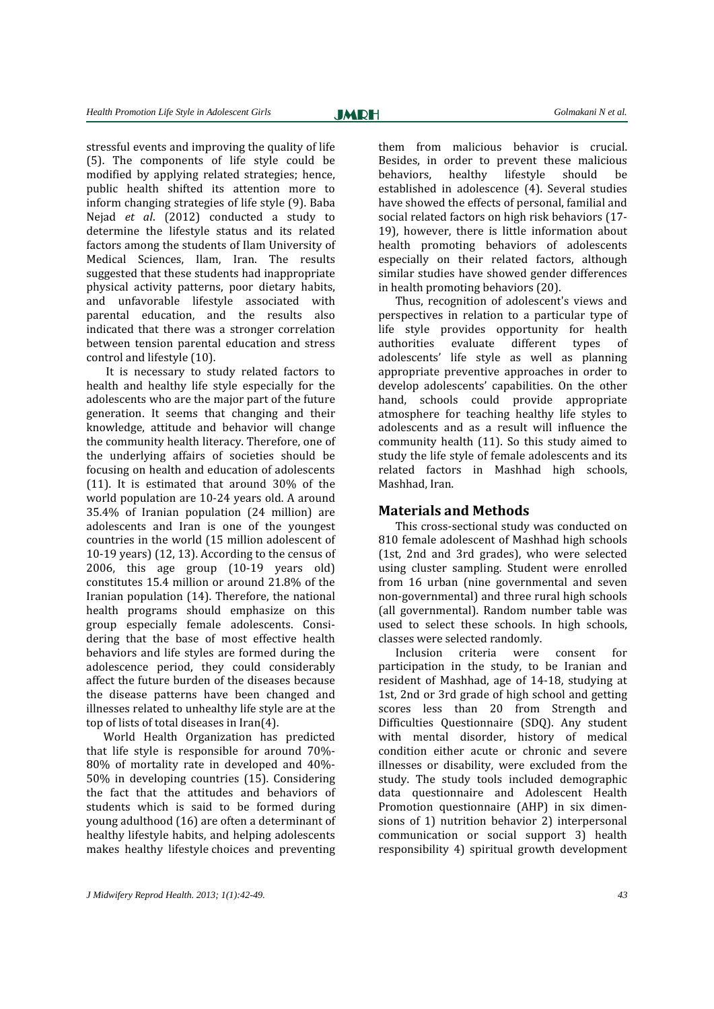stressful events and improving the quality of life (5). The components of life style could be modified by applying related strategies; hence, public health shifted its attention more to inform changing strategies of life style (9). Baba Nejad *et al*. (2012) conducted a study to determine the lifestyle status and its related factors among the students of Ilam University of Medical Sciences, Ilam, Iran. The results suggested that these students had inappropriate physical activity patterns, poor dietary habits, and unfavorable lifestyle associated with parental education, and the results also indicated that there was a stronger correlation between tension parental education and stress control and lifestyle (10).

It is necessary to study related factors to health and healthy life style especially for the adolescents who are the major part of the future generation. It seems that changing and their knowledge, attitude and behavior will change the community health literacy. Therefore, one of the underlying affairs of societies should be focusing on health and education of adolescents (11). It is estimated that around 30% of the world population are 10-24 years old. A around 35.4% of Iranian population (24 million) are adolescents and Iran is one of the youngest countries in the world (15 million adolescent of 10-19 years) (12, 13). According to the census of 2006, this age group (10-19 years old) constitutes 15.4 million or around 21.8% of the Iranian population (14). Therefore, the national health programs should emphasize on this group especially female adolescents. Considering that the base of most effective health behaviors and life styles are formed during the adolescence period, they could considerably affect the future burden of the diseases because the disease patterns have been changed and illnesses related to unhealthy life style are at the top of lists of total diseases in Iran(4).

World Health Organization has predicted that life style is responsible for around 70%- 80% of mortality rate in developed and 40%- 50% in developing countries (15). Considering the fact that the attitudes and behaviors of students which is said to be formed during young adulthood (16) are often a determinant of healthy lifestyle habits, and helping adolescents makes healthy lifestyle choices and preventing them from malicious behavior is crucial. Besides, in order to prevent these malicious behaviors, healthy lifestyle should be established in adolescence (4). Several studies have showed the effects of personal, familial and social related factors on high risk behaviors (17- 19), however, there is little information about health promoting behaviors of adolescents especially on their related factors, although similar studies have showed gender differences in health promoting behaviors (20).

Thus, recognition of adolescent's views and perspectives in relation to a particular type of life style provides opportunity for health authorities evaluate different types of adolescents' life style as well as planning appropriate preventive approaches in order to develop adolescents' capabilities. On the other hand, schools could provide appropriate atmosphere for teaching healthy life styles to adolescents and as a result will influence the community health (11). So this study aimed to study the life style of female adolescents and its related factors in Mashhad high schools, Mashhad, Iran.

### **Materials and Methods**

This cross-sectional study was conducted on 810 female adolescent of Mashhad high schools (1st, 2nd and 3rd grades), who were selected using cluster sampling. Student were enrolled from 16 urban (nine governmental and seven non-governmental) and three rural high schools (all governmental). Random number table was used to select these schools. In high schools, classes were selected randomly.

Inclusion criteria were consent for participation in the study, to be Iranian and resident of Mashhad, age of 14-18, studying at 1st, 2nd or 3rd grade of high school and getting scores less than 20 from Strength and Difficulties Questionnaire (SDQ). Any student with mental disorder, history of medical condition either acute or chronic and severe illnesses or disability, were excluded from the study. The study tools included demographic data questionnaire and Adolescent Health Promotion questionnaire (AHP) in six dimensions of 1) nutrition behavior 2) interpersonal communication or social support 3) health responsibility 4) spiritual growth development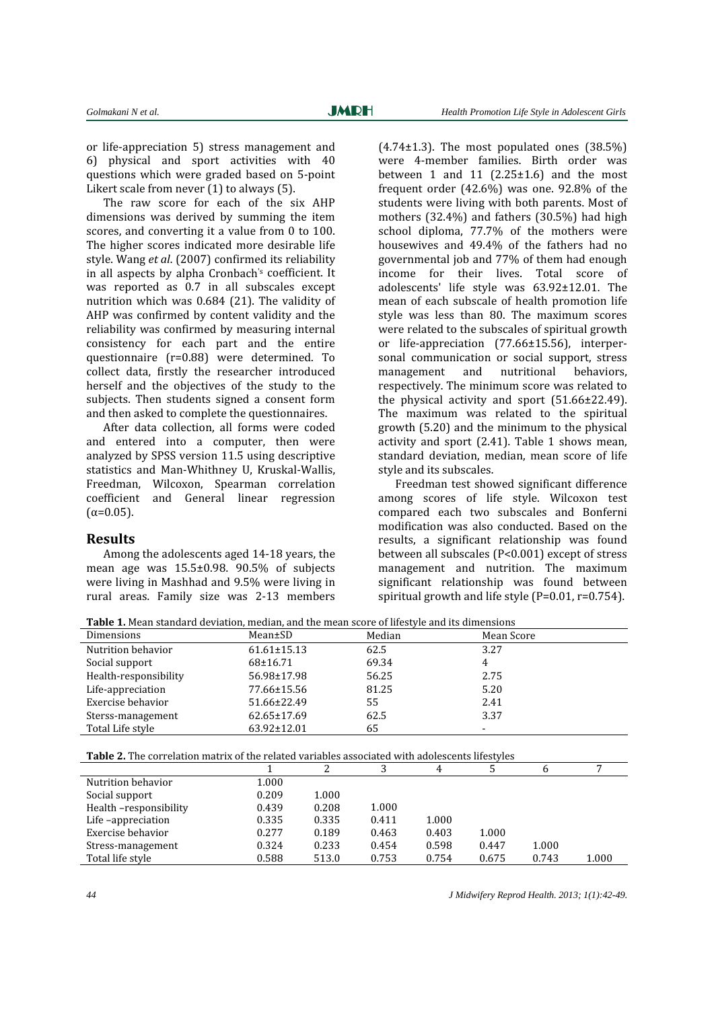or life-appreciation 5) stress management and 6) physical and sport activities with 40 questions which were graded based on 5-point Likert scale from never (1) to always (5).

The raw score for each of the six AHP dimensions was derived by summing the item scores, and converting it a value from 0 to 100. The higher scores indicated more desirable life style. Wang *et al*. (2007) confirmed its reliability in all aspects by alpha Cronbach's coefficient. It was reported as 0.7 in all subscales except nutrition which was 0.684 (21). The validity of AHP was confirmed by content validity and the reliability was confirmed by measuring internal consistency for each part and the entire questionnaire (r=0.88) were determined. To collect data, firstly the researcher introduced herself and the objectives of the study to the subjects. Then students signed a consent form and then asked to complete the questionnaires.

After data collection, all forms were coded and entered into a computer, then were analyzed by SPSS version 11.5 using descriptive statistics and Man-Whithney U, Kruskal-Wallis, Freedman, Wilcoxon, Spearman correlation coefficient and General linear regression  $(α=0.05)$ .

#### **Results**

Among the adolescents aged 14-18 years, the mean age was 15.5±0.98. 90.5% of subjects were living in Mashhad and 9.5% were living in rural areas. Family size was 2-13 members

 $(4.74\pm1.3)$ . The most populated ones  $(38.5\%)$ were 4-member families. Birth order was between 1 and 11  $(2.25 \pm 1.6)$  and the most frequent order (42.6%) was one. 92.8% of the students were living with both parents. Most of mothers (32.4%) and fathers (30.5%) had high school diploma, 77.7% of the mothers were housewives and 49.4% of the fathers had no governmental job and 77% of them had enough income for their lives. Total score of adolescents' life style was 63.92±12.01. The mean of each subscale of health promotion life style was less than 80. The maximum scores were related to the subscales of spiritual growth or life-appreciation (77.66±15.56), interpersonal communication or social support, stress management and nutritional behaviors, respectively. The minimum score was related to the physical activity and sport (51.66±22.49). The maximum was related to the spiritual growth (5.20) and the minimum to the physical activity and sport (2.41). Table 1 shows mean, standard deviation, median, mean score of life style and its subscales.

Freedman test showed significant difference among scores of life style. Wilcoxon test compared each two subscales and Bonferni modification was also conducted. Based on the results, a significant relationship was found between all subscales (P<0.001) except of stress management and nutrition. The maximum significant relationship was found between spiritual growth and life style (P=0.01, r=0.754).

| -www.community.com/www.community.com/www.community.com/www.com/www.com/www.com/ |                   |        |            |  |  |  |  |
|---------------------------------------------------------------------------------|-------------------|--------|------------|--|--|--|--|
| Dimensions                                                                      | Mean±SD           | Median | Mean Score |  |  |  |  |
| Nutrition behavior                                                              | $61.61 \pm 15.13$ | 62.5   | 3.27       |  |  |  |  |
| Social support                                                                  | $68 \pm 16.71$    | 69.34  |            |  |  |  |  |
| Health-responsibility                                                           | 56.98±17.98       | 56.25  | 2.75       |  |  |  |  |
| Life-appreciation                                                               | 77.66±15.56       | 81.25  | 5.20       |  |  |  |  |
| Exercise behavior                                                               | 51.66±22.49       | 55     | 2.41       |  |  |  |  |
| Sterss-management                                                               | $62.65 \pm 17.69$ | 62.5   | 3.37       |  |  |  |  |
| Total Life style                                                                | $63.92 \pm 12.01$ | 65     |            |  |  |  |  |

**Table 1.** Mean standard deviation, median, and the mean score of lifestyle and its dimensions

**Table 2.** The correlation matrix of the related variables associated with adolescents lifestyles

|                        |       |       |       | 4     |       | h     |       |
|------------------------|-------|-------|-------|-------|-------|-------|-------|
| Nutrition behavior     | 1.000 |       |       |       |       |       |       |
| Social support         | 0.209 | 1.000 |       |       |       |       |       |
| Health -responsibility | 0.439 | 0.208 | 1.000 |       |       |       |       |
| Life-appreciation      | 0.335 | 0.335 | 0.411 | 1.000 |       |       |       |
| Exercise behavior      | 0.277 | 0.189 | 0.463 | 0.403 | 1.000 |       |       |
| Stress-management      | 0.324 | 0.233 | 0.454 | 0.598 | 0.447 | 1.000 |       |
| Total life style       | 0.588 | 513.0 | 0.753 | 0.754 | 0.675 | 0.743 | 1.000 |
|                        |       |       |       |       |       |       |       |

*44 J Midwifery Reprod Health. 2013; 1(1):42-49.*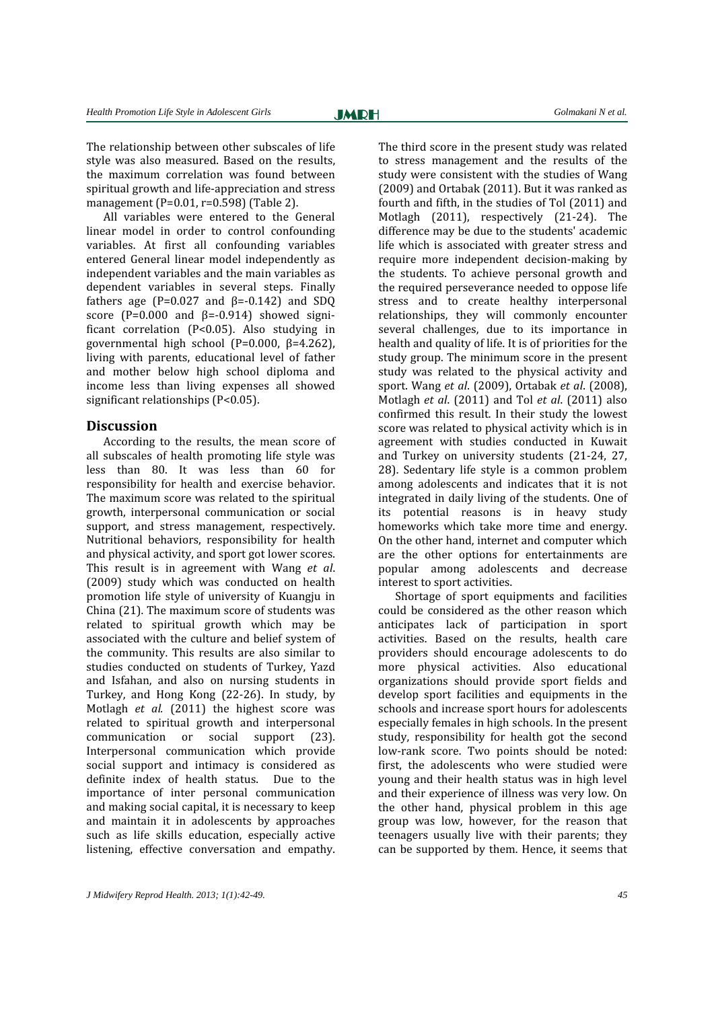The relationship between other subscales of life style was also measured. Based on the results, the maximum correlation was found between spiritual growth and life-appreciation and stress management (P=0.01, r=0.598) (Table 2).

All variables were entered to the General linear model in order to control confounding variables. At first all confounding variables entered General linear model independently as independent variables and the main variables as dependent variables in several steps. Finally fathers age ( $P=0.027$  and  $\beta=-0.142$ ) and SDQ score (P=0.000 and  $\beta$ =-0.914) showed significant correlation (P<0.05). Also studying in governmental high school (P=0.000, β=4.262), living with parents, educational level of father and mother below high school diploma and income less than living expenses all showed significant relationships (P<0.05).

#### **Discussion**

According to the results, the mean score of all subscales of health promoting life style was less than 80. It was less than 60 for responsibility for health and exercise behavior. The maximum score was related to the spiritual growth, interpersonal communication or social support, and stress management, respectively. Nutritional behaviors, responsibility for health and physical activity, and sport got lower scores. This result is in agreement with Wang *et al*. (2009) study which was conducted on health promotion life style of university of Kuangju in China (21). The maximum score of students was related to spiritual growth which may be associated with the culture and belief system of the community. This results are also similar to studies conducted on students of Turkey, Yazd and Isfahan, and also on nursing students in Turkey, and Hong Kong (22-26). In study, by Motlagh *et al.* (2011) the highest score was related to spiritual growth and interpersonal communication or social support (23). Interpersonal communication which provide social support and intimacy is considered as definite index of health status. Due to the importance of inter personal communication and making social capital, it is necessary to keep and maintain it in adolescents by approaches such as life skills education, especially active listening, effective conversation and empathy.

The third score in the present study was related to stress management and the results of the study were consistent with the studies of Wang (2009) and Ortabak (2011). But it was ranked as fourth and fifth, in the studies of Tol (2011) and Motlagh (2011), respectively (21-24). The difference may be due to the students' academic life which is associated with greater stress and require more independent decision-making by the students. To achieve personal growth and the required perseverance needed to oppose life stress and to create healthy interpersonal relationships, they will commonly encounter several challenges, due to its importance in health and quality of life. It is of priorities for the study group. The minimum score in the present study was related to the physical activity and sport. Wang *et al*. (2009), Ortabak *et al*. (2008), Motlagh *et al*. (2011) and Tol *et al*. (2011) also confirmed this result. In their study the lowest score was related to physical activity which is in agreement with studies conducted in Kuwait and Turkey on university students (21-24, 27, 28). Sedentary life style is a common problem among adolescents and indicates that it is not integrated in daily living of the students. One of its potential reasons is in heavy study homeworks which take more time and energy. On the other hand, internet and computer which are the other options for entertainments are popular among adolescents and decrease interest to sport activities.

Shortage of sport equipments and facilities could be considered as the other reason which anticipates lack of participation in sport activities. Based on the results, health care providers should encourage adolescents to do more physical activities. Also educational organizations should provide sport fields and develop sport facilities and equipments in the schools and increase sport hours for adolescents especially females in high schools. In the present study, responsibility for health got the second low-rank score. Two points should be noted: first, the adolescents who were studied were young and their health status was in high level and their experience of illness was very low. On the other hand, physical problem in this age group was low, however, for the reason that teenagers usually live with their parents; they can be supported by them. Hence, it seems that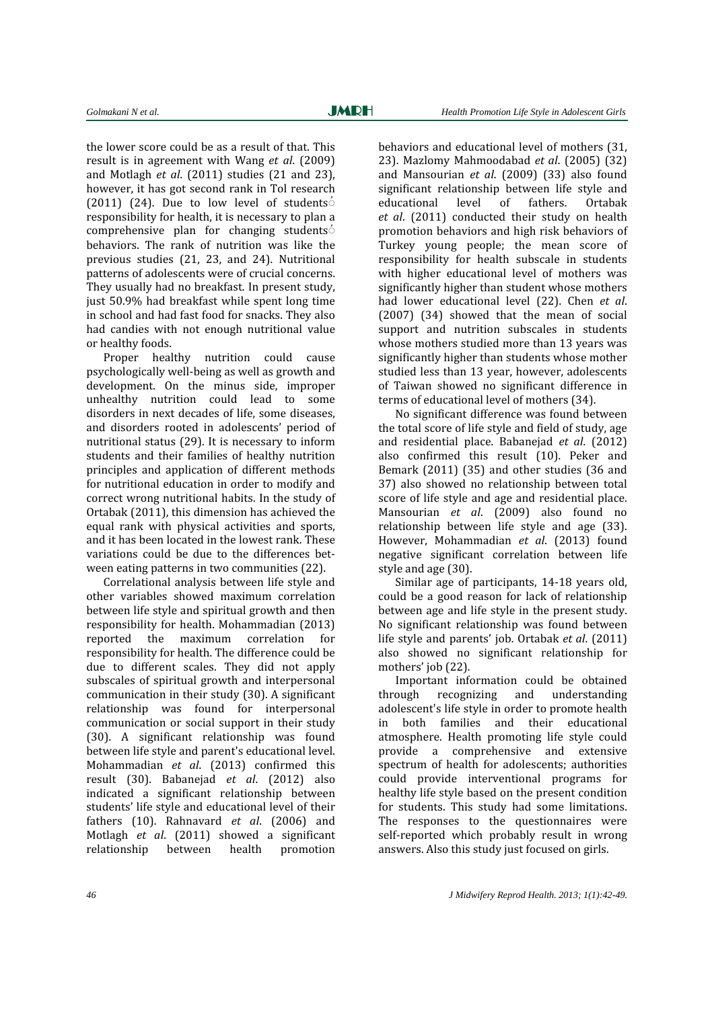the lower score could be as a result of that. This result is in agreement with Wang *et al*. (2009) and Motlagh *et al*. (2011) studies (21 and 23), however, it has got second rank in Tol research (2011) (24). Due to low level of students $\dot{\circ}$ responsibility for health, it is necessary to plan a comprehensive plan for changing students $\circ$ behaviors. The rank of nutrition was like the previous studies (21, 23, and 24). Nutritional patterns of adolescents were of crucial concerns. They usually had no breakfast. In present study, just 50.9% had breakfast while spent long time in school and had fast food for snacks. They also had candies with not enough nutritional value or healthy foods.

Proper healthy nutrition could cause psychologically well-being as well as growth and development. On the minus side, improper unhealthy nutrition could lead to some disorders in next decades of life, some diseases, and disorders rooted in adolescents' period of nutritional status (29). It is necessary to inform students and their families of healthy nutrition principles and application of different methods for nutritional education in order to modify and correct wrong nutritional habits. In the study of Ortabak (2011), this dimension has achieved the equal rank with physical activities and sports, and it has been located in the lowest rank. These variations could be due to the differences between eating patterns in two communities (22).

Correlational analysis between life style and other variables showed maximum correlation between life style and spiritual growth and then responsibility for health. Mohammadian (2013) reported the maximum correlation for responsibility for health. The difference could be due to different scales. They did not apply subscales of spiritual growth and interpersonal communication in their study (30). A significant relationship was found for interpersonal communication or social support in their study (30). A significant relationship was found between life style and parent's educational level. Mohammadian *et al*. (2013) confirmed this result (30). Babanejad *et al*. (2012) also indicated a significant relationship between students' life style and educational level of their fathers (10). Rahnavard *et al*. (2006) and Motlagh *et al*. (2011) showed a significant relationship between health promotion

behaviors and educational level of mothers (31, 23). Mazlomy Mahmoodabad *et al*. (2005) (32) and Mansourian *et al*. (2009) (33) also found significant relationship between life style and educational level of fathers. Ortabak *et al*. (2011) conducted their study on health promotion behaviors and high risk behaviors of Turkey young people; the mean score of responsibility for health subscale in students with higher educational level of mothers was significantly higher than student whose mothers had lower educational level (22). Chen *et al*. (2007) (34) showed that the mean of social support and nutrition subscales in students whose mothers studied more than 13 years was significantly higher than students whose mother studied less than 13 year, however, adolescents of Taiwan showed no significant difference in terms of educational level of mothers (34).

No significant difference was found between the total score of life style and field of study, age and residential place. Babanejad *et al*. (2012) also confirmed this result (10). Peker and Bemark (2011) (35) and other studies (36 and 37) also showed no relationship between total score of life style and age and residential place. Mansourian *et al*. (2009) also found no relationship between life style and age (33). However, Mohammadian *et al*. (2013) found negative significant correlation between life style and age (30).

Similar age of participants, 14-18 years old, could be a good reason for lack of relationship between age and life style in the present study. No significant relationship was found between life style and parents' job. Ortabak *et al*. (2011) also showed no significant relationship for mothers' job (22).

Important information could be obtained through recognizing and understanding adolescent's life style in order to promote health in both families and their educational atmosphere. Health promoting life style could provide a comprehensive and extensive spectrum of health for adolescents; authorities could provide interventional programs for healthy life style based on the present condition for students. This study had some limitations. The responses to the questionnaires were self-reported which probably result in wrong answers. Also this study just focused on girls.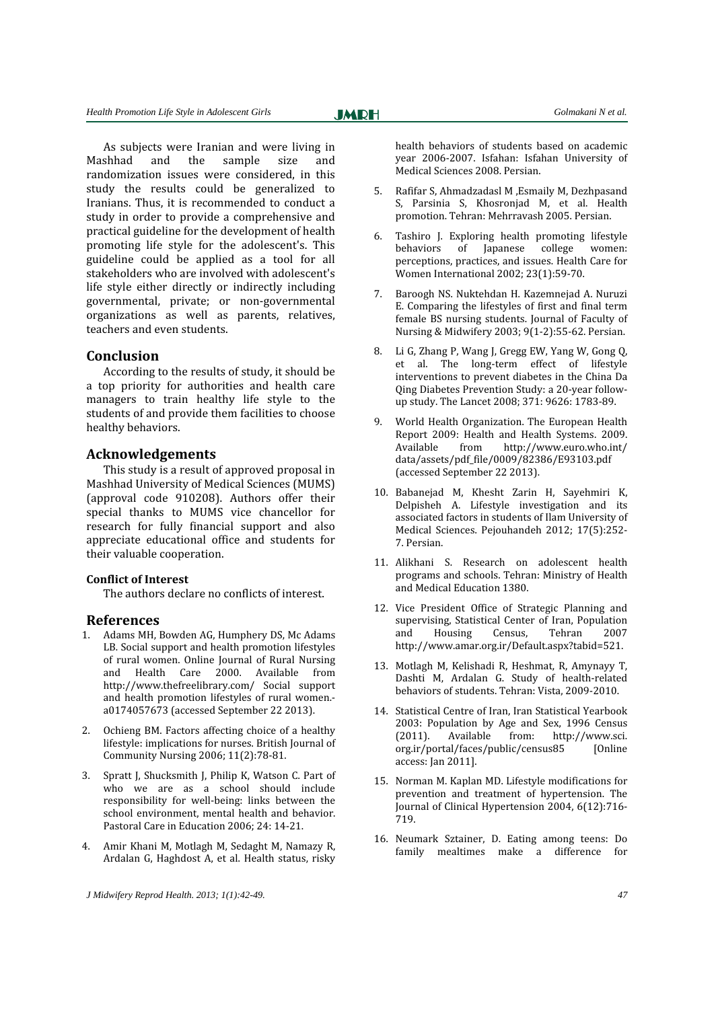As subjects were Iranian and were living in Mashhad and the sample size and randomization issues were considered, in this study the results could be generalized to Iranians. Thus, it is recommended to conduct a study in order to provide a comprehensive and practical guideline for the development of health promoting life style for the adolescent's. This guideline could be applied as a tool for all stakeholders who are involved with adolescent's life style either directly or indirectly including governmental, private; or non-governmental organizations as well as parents, relatives, teachers and even students.

### **Conclusion**

According to the results of study, it should be a top priority for authorities and health care managers to train healthy life style to the students of and provide them facilities to choose healthy behaviors.

# **Acknowledgements**

This study is a result of approved proposal in Mashhad University of Medical Sciences (MUMS) (approval code 910208). Authors offer their special thanks to MUMS vice chancellor for research for fully financial support and also appreciate educational office and students for their valuable cooperation.

#### **Conflict of Interest**

The authors declare no conflicts of interest.

# **References**

- 1. Adams MH, Bowden AG, Humphery DS, Mc Adams LB. Social support and health promotion lifestyles of rural women. Online Journal of Rural Nursing and Health Care 2000. Available from [http://www.thefreelibrary.com/ Social support](http://www.thefreelibrary.com/Social%20support%20and%20health%20promotion%20lifestyles%20of%20rural%20women.-a0174057673)  [and health promotion lifestyles of rural women.](http://www.thefreelibrary.com/Social%20support%20and%20health%20promotion%20lifestyles%20of%20rural%20women.-a0174057673) [a0174057673](http://www.thefreelibrary.com/Social%20support%20and%20health%20promotion%20lifestyles%20of%20rural%20women.-a0174057673) (accessed September 22 2013).
- 2. Ochieng BM. Factors affecting choice of a healthy lifestyle: implications for nurses. British Journal of Community Nursing 2006; 11(2):78-81.
- 3. Spratt J, Shucksmith J, Philip K, Watson C. Part of who we are as a school should include responsibility for well-being: links between the school environment, mental health and behavior. Pastoral Care in Education 2006; 24: 14-21.
- 4. Amir Khani M, Motlagh M, Sedaght M, Namazy R, Ardalan G, Haghdost A, et al. Health status, risky

*J Midwifery Reprod Health. 2013; 1(1):42-49. 47*

health behaviors of students based on academic year 2006-2007. Isfahan: Isfahan University of Medical Sciences 2008. Persian.

- 5. Rafifar S, Ahmadzadasl M ,Esmaily M, Dezhpasand S, Parsinia S, Khosronjad M, et al. Health promotion. Tehran: Mehrravash 2005. Persian.
- 6. Tashiro J. Exploring health promoting lifestyle behaviors of Japanese college women: perceptions, practices, and issues. Health Care for Women International 2002; 23(1):59-70.
- 7. Baroogh NS. Nuktehdan H. Kazemnejad A. [Nuruzi](http://hayat.tums.ac.ir/search.php?slc_lang=en&sid=1&auth=Nuruzi) E. Comparing the lifestyles of first and final term female BS nursing students. Journal of Faculty of Nursing & Midwifery 2003; 9(1-2):55-62. Persian.
- 8. Li G, Zhang P, Wang J, Gregg EW, Yang W, Gong Q, et al. The long-term effect of lifestyle interventions to prevent diabetes in the China Da Qing Diabetes Prevention Study: a 20-year followup study. The Lancet 2008; 371: 9626: 1783-89.
- 9. World Health Organization. The European Health Report 2009: Health and Health Systems. 2009. Available from http://www.euro.who.int/ data/assets/pdf\_file/0009/82386/E93103.pdf (accessed September 22 2013).
- 10. Babanejad M, Khesht Zarin H, Sayehmiri K, Delpisheh A. Lifestyle investigation and its associated factors in students of Ilam University of Medical Sciences. Pejouhandeh 2012; 17(5):252- 7. Persian.
- 11. Alikhani S. Research on adolescent health programs and schools. Tehran: Ministry of Health and Medical Education 1380.
- 12. Vice President Office of Strategic Planning and supervising, Statistical Center of Iran, Population and Housing Census, Tehran 2007 [http://www.amar.org.ir/Default.aspx?tabid=521.](http://www.amar.org.ir/Default.aspx?tabid=521)
- 13. Motlagh M, Kelishadi R, Heshmat, R, Amynayy T, Dashti M, Ardalan G. Study of health-related behaviors of students. Tehran: Vista, 2009-2010.
- 14. Statistical Centre of Iran, Iran Statistical Yearbook 2003: Population by Age and Sex, 1996 Census (2011). Available from: [http://www.sci.](http://www.sci/)  org.ir/portal/faces/public/census85 [Online access: Jan 2011].
- 15. Norman M. Kaplan MD. Lifestyle modifications for prevention and treatment of hypertension. The Journal of Clinical Hypertension 2004, 6(12):716- 719.
- 16. Neumark Sztainer, D. Eating among teens: Do family mealtimes make a difference for